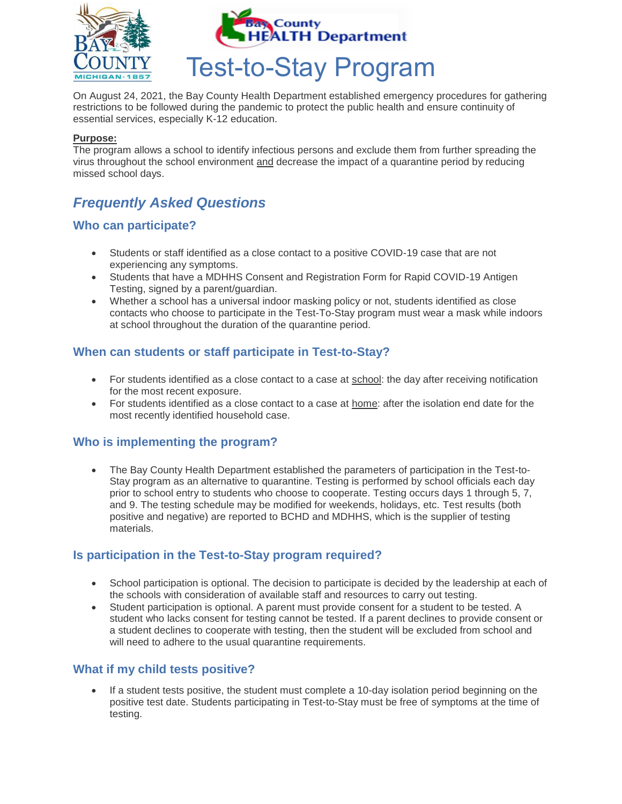

On August 24, 2021, the Bay County Health Department established emergency procedures for gathering restrictions to be followed during the pandemic to protect the public health and ensure continuity of essential services, especially K-12 education.

#### **Purpose:**

The program allows a school to identify infectious persons and exclude them from further spreading the virus throughout the school environment and decrease the impact of a quarantine period by reducing missed school days.

# *Frequently Asked Questions*

### **Who can participate?**

- Students or staff identified as a close contact to a positive COVID-19 case that are not experiencing any symptoms.
- Students that have a MDHHS Consent and Registration Form for Rapid COVID-19 Antigen Testing, signed by a parent/guardian.
- Whether a school has a universal indoor masking policy or not, students identified as close contacts who choose to participate in the Test-To-Stay program must wear a mask while indoors at school throughout the duration of the quarantine period.

### **When can students or staff participate in Test-to-Stay?**

- For students identified as a close contact to a case at school: the day after receiving notification for the most recent exposure.
- For students identified as a close contact to a case at home: after the isolation end date for the most recently identified household case.

#### **Who is implementing the program?**

• The Bay County Health Department established the parameters of participation in the Test-to-Stay program as an alternative to quarantine. Testing is performed by school officials each day prior to school entry to students who choose to cooperate. Testing occurs days 1 through 5, 7, and 9. The testing schedule may be modified for weekends, holidays, etc. Test results (both positive and negative) are reported to BCHD and MDHHS, which is the supplier of testing materials.

#### **Is participation in the Test-to-Stay program required?**

- School participation is optional. The decision to participate is decided by the leadership at each of the schools with consideration of available staff and resources to carry out testing.
- Student participation is optional. A parent must provide consent for a student to be tested. A student who lacks consent for testing cannot be tested. If a parent declines to provide consent or a student declines to cooperate with testing, then the student will be excluded from school and will need to adhere to the usual quarantine requirements.

#### **What if my child tests positive?**

If a student tests positive, the student must complete a 10-day isolation period beginning on the positive test date. Students participating in Test-to-Stay must be free of symptoms at the time of testing.